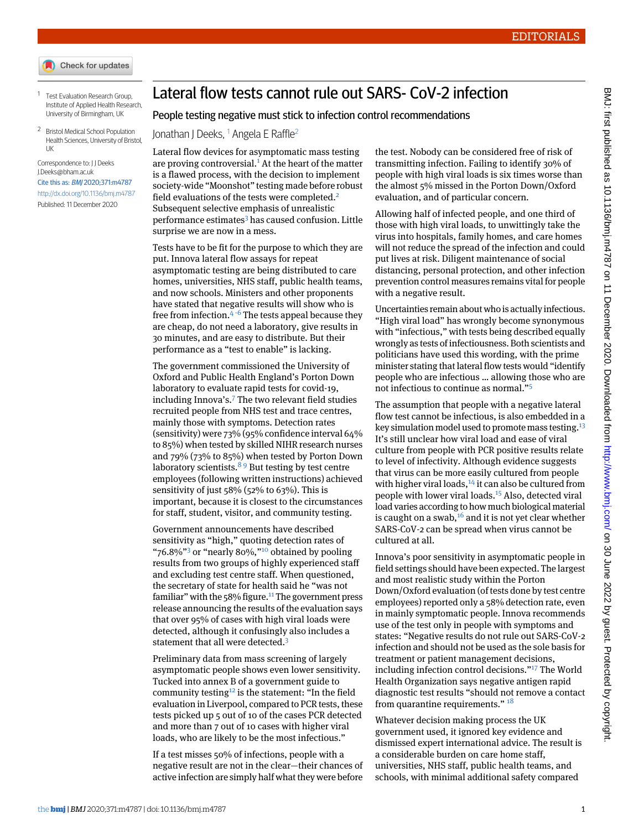- Check for updates
- <span id="page-0-1"></span><span id="page-0-0"></span>1 Test Evaluation Research Group, Institute of Applied Health Research, University of Birmingham, UK
- <sup>2</sup> Bristol Medical School Population Health Sciences, University of Bristol, UK

## Correspondence to: J J Deeks [J.Deeks@bham.ac.uk](mailto:J.Deeks@bham.ac.uk)

Cite this as: BMJ 2020;371:m4787 <http://dx.doi.org/10.1136/bmj.m4787> Published: 11 December 2020

## Lateral flow tests cannot rule out SARS- CoV-2 infection

## People testing negative must stick to infection control recommendations

Jonathan J Deeks, <sup>[1](#page-0-0)</sup> Angela E Raffle<sup>[2](#page-0-1)</sup>

Lateral flow devices for asymptomatic mass testing are proving controversial. $<sup>1</sup>$  $<sup>1</sup>$  $<sup>1</sup>$  At the heart of the matter</sup> is a flawed process, with the decision to implement society-wide "Moonshot" testing made before robust field evaluations of the tests were completed.<sup>[2](#page-1-1)</sup> Subsequent selective emphasis of unrealistic performance estimates<sup>[3](#page-1-2)</sup> has caused confusion. Little surprise we are now in a mess.

Tests have to be fit for the purpose to which they are put. Innova lateral flow assays for repeat asymptomatic testing are being distributed to care homes, universities, NHS staff, public health teams, and now schools. Ministers and other proponents have stated that negative results will show who is free from infection.<sup>[4](#page-1-3) [-](#page-1-4)[6](#page-1-5)</sup> The tests appeal because they are cheap, do not need a laboratory, give results in 30 minutes, and are easy to distribute. But their performance as a "test to enable" is lacking.

The government commissioned the University of Oxford and Public Health England's Porton Down laboratory to evaluate rapid tests for covid-19, including Innova's.[7](#page-1-6) The two relevant field studies recruited people from NHS test and trace centres, mainly those with symptoms. Detection rates (sensitivity) were 73% (95% confidence interval 64% to 85%) when tested by skilled NIHR research nurses and 79% (73% to 85%) when tested by Porton Down laboratory scientists.<sup>[8](#page-1-7)</sup> [9](#page-1-8) But testing by test centre employees (following written instructions) achieved sensitivity of just 58% (52% to 63%). This is important, because it is closest to the circumstances for staff, student, visitor, and community testing.

Government announcements have described sensitivity as "high," quoting detection rates of "76.8%"<sup>[3](#page-1-2)</sup> or "nearly 80%,"<sup>[10](#page-1-9)</sup> obtained by pooling results from two groups of highly experienced staff and excluding test centre staff. When questioned, the secretary of state for health said he "was not familiar" with the  $58\%$  figure.<sup>[11](#page-1-10)</sup> The government press release announcing the results of the evaluation says that over 95% of cases with high viral loads were detected, although it confusingly also includes a statement that all were detected.<sup>[3](#page-1-2)</sup>

Preliminary data from mass screening of largely asymptomatic people shows even lower sensitivity. Tucked into annex B of a government guide to community testing<sup>[12](#page-1-11)</sup> is the statement: "In the field evaluation in Liverpool, compared to PCR tests, these tests picked up 5 out of 10 of the cases PCR detected and more than 7 out of 10 cases with higher viral loads, who are likely to be the most infectious."

If a test misses 50% of infections, people with a negative result are not in the clear—their chances of active infection are simply half what they were before

the test. Nobody can be considered free of risk of transmitting infection. Failing to identify 30% of people with high viral loads is six times worse than the almost 5% missed in the Porton Down/Oxford evaluation, and of particular concern.

Allowing half of infected people, and one third of those with high viral loads, to unwittingly take the virus into hospitals, family homes, and care homes will not reduce the spread of the infection and could put lives at risk. Diligent maintenance of social distancing, personal protection, and other infection prevention control measures remains vital for people with a negative result.

Uncertainties remain about who is actually infectious. "High viral load" has wrongly become synonymous with "infectious," with tests being described equally wrongly as tests of infectiousness. Both scientists and politicians have used this wording, with the prime minister stating that lateral flow tests would "identify people who are infectious … allowing those who are not infectious to continue as normal." [5](#page-1-4)

The assumption that people with a negative lateral flow test cannot be infectious, is also embedded in a key simulation model used to promote mass testing. $13$ It's still unclear how viral load and ease of viral culture from people with PCR positive results relate to level of infectivity. Although evidence suggests that virus can be more easily cultured from people with higher viral loads, $14$  it can also be cultured from people with lower viral loads.[15](#page-1-14) Also, detected viral load varies according to how much biological material is caught on a swab,  $16$  and it is not yet clear whether SARS-CoV-2 can be spread when virus cannot be cultured at all.

Innova's poor sensitivity in asymptomatic people in field settings should have been expected. The largest and most realistic study within the Porton Down/Oxford evaluation (of tests done by test centre employees) reported only a 58% detection rate, even in mainly symptomatic people. Innova recommends use of the test only in people with symptoms and states: "Negative results do not rule out SARS-CoV-2 infection and should not be used as the sole basis for treatment or patient management decisions, including infection control decisions." [17](#page-1-16) The World Health Organization says negative antigen rapid diagnostic test results "should not remove a contact from quarantine requirements."<sup>[18](#page-1-17)</sup>

Whatever decision making process the UK government used, it ignored key evidence and dismissed expert international advice. The result is a considerable burden on care home staff, universities, NHS staff, public health teams, and schools, with minimal additional safety compared